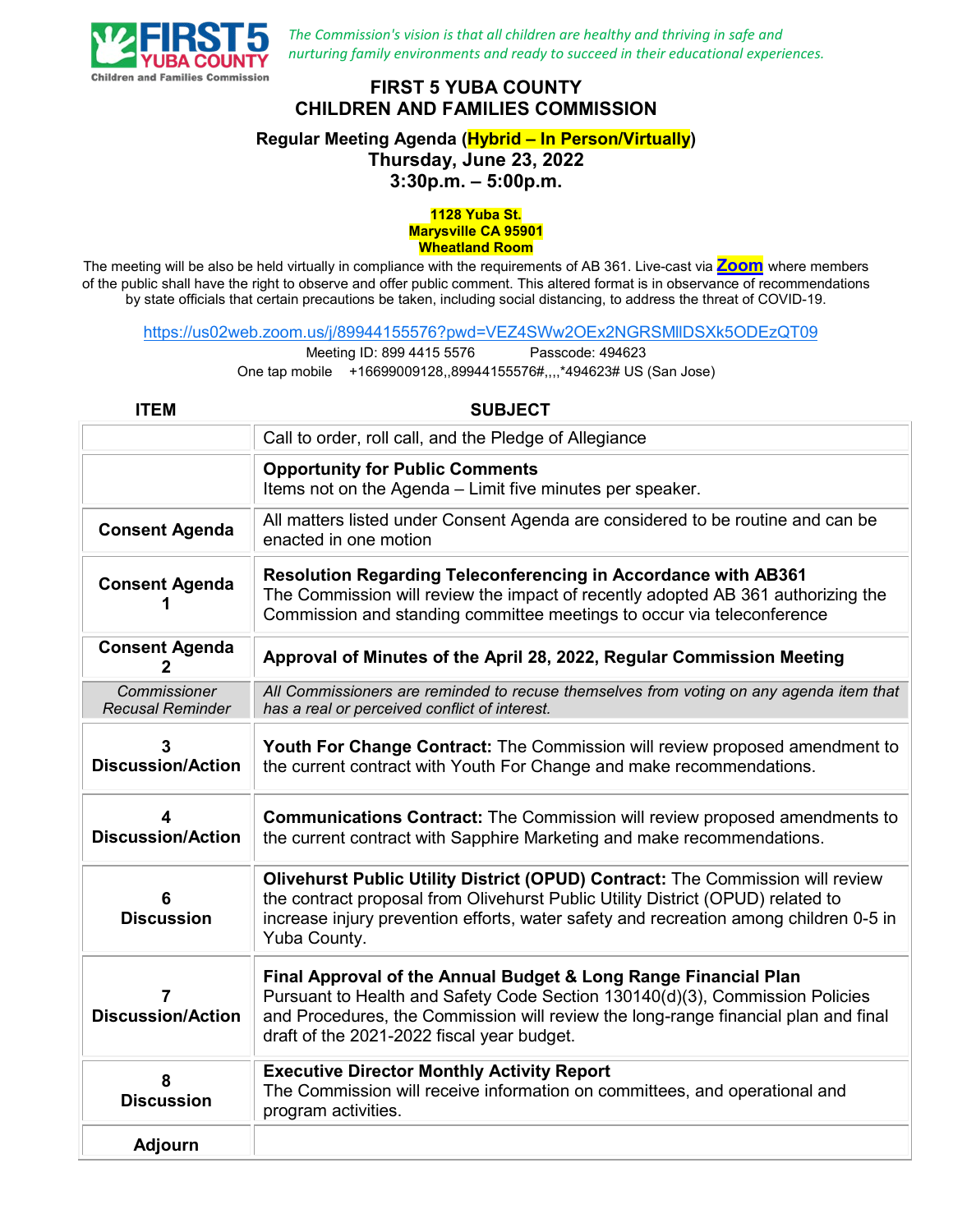

*The Commission's vision is that all children are healthy and thriving in safe and nurturing family environments and ready to succeed in their educational experiences.*

## **FIRST 5 YUBA COUNTY CHILDREN AND FAMILIES COMMISSION**

## **Regular Meeting Agenda (Hybrid – In Person/Virtually) Thursday, June 23, 2022**

**3:30p.m. – 5:00p.m.**

## **1128 Yuba St. Marysville CA 95901 Wheatland Room**

The meeting will be also be held virtually in compliance with the requirements of AB 361. Live-cast via **[Zoom](https://us02web.zoom.us/j/81227649444?pwd=bGx3S1lqQTJ1UHVidVpxOGRZcEVSdz09)** where members of the public shall have the right to observe and offer public comment. This altered format is in observance of recommendations by state officials that certain precautions be taken, including social distancing, to address the threat of COVID-19.

<https://us02web.zoom.us/j/89944155576?pwd=VEZ4SWw2OEx2NGRSMllDSXk5ODEzQT09>

Meeting ID: 899 4415 5576 Passcode: 494623

One tap mobile +16699009128,,89944155576#,,,,\*494623# US (San Jose)

| <b>ITEM</b>                             | <b>SUBJECT</b>                                                                                                                                                                                                                                                                      |
|-----------------------------------------|-------------------------------------------------------------------------------------------------------------------------------------------------------------------------------------------------------------------------------------------------------------------------------------|
|                                         | Call to order, roll call, and the Pledge of Allegiance                                                                                                                                                                                                                              |
|                                         | <b>Opportunity for Public Comments</b><br>Items not on the Agenda - Limit five minutes per speaker.                                                                                                                                                                                 |
| <b>Consent Agenda</b>                   | All matters listed under Consent Agenda are considered to be routine and can be<br>enacted in one motion                                                                                                                                                                            |
| <b>Consent Agenda</b>                   | <b>Resolution Regarding Teleconferencing in Accordance with AB361</b><br>The Commission will review the impact of recently adopted AB 361 authorizing the<br>Commission and standing committee meetings to occur via teleconference                                                 |
| <b>Consent Agenda</b><br>2              | Approval of Minutes of the April 28, 2022, Regular Commission Meeting                                                                                                                                                                                                               |
| Commissioner<br><b>Recusal Reminder</b> | All Commissioners are reminded to recuse themselves from voting on any agenda item that<br>has a real or perceived conflict of interest.                                                                                                                                            |
| 3<br><b>Discussion/Action</b>           | Youth For Change Contract: The Commission will review proposed amendment to<br>the current contract with Youth For Change and make recommendations.                                                                                                                                 |
| 4<br><b>Discussion/Action</b>           | <b>Communications Contract:</b> The Commission will review proposed amendments to<br>the current contract with Sapphire Marketing and make recommendations.                                                                                                                         |
| 6<br><b>Discussion</b>                  | Olivehurst Public Utility District (OPUD) Contract: The Commission will review<br>the contract proposal from Olivehurst Public Utility District (OPUD) related to<br>increase injury prevention efforts, water safety and recreation among children 0-5 in<br>Yuba County.          |
| <b>Discussion/Action</b>                | Final Approval of the Annual Budget & Long Range Financial Plan<br>Pursuant to Health and Safety Code Section 130140(d)(3), Commission Policies<br>and Procedures, the Commission will review the long-range financial plan and final<br>draft of the 2021-2022 fiscal year budget. |
| 8<br><b>Discussion</b>                  | <b>Executive Director Monthly Activity Report</b><br>The Commission will receive information on committees, and operational and<br>program activities.                                                                                                                              |
| <b>Adjourn</b>                          |                                                                                                                                                                                                                                                                                     |